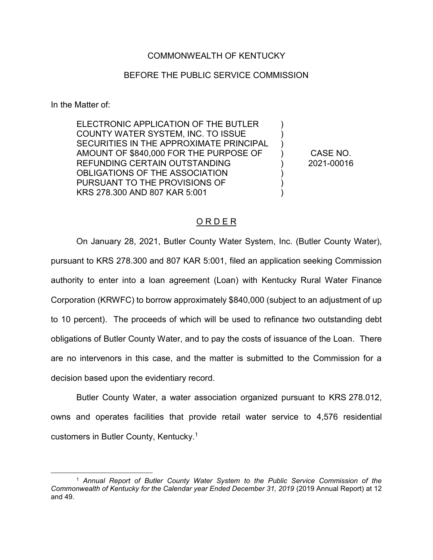## COMMONWEALTH OF KENTUCKY

## BEFORE THE PUBLIC SERVICE COMMISSION

In the Matter of:

ELECTRONIC APPLICATION OF THE BUTLER COUNTY WATER SYSTEM, INC. TO ISSUE SECURITIES IN THE APPROXIMATE PRINCIPAL AMOUNT OF \$840,000 FOR THE PURPOSE OF REFUNDING CERTAIN OUTSTANDING OBLIGATIONS OF THE ASSOCIATION PURSUANT TO THE PROVISIONS OF KRS 278.300 AND 807 KAR 5:001

CASE NO. 2021-00016

) ) ) ) ) ) ) )

## O R D E R

On January 28, 2021, Butler County Water System, Inc. (Butler County Water), pursuant to KRS 278.300 and 807 KAR 5:001, filed an application seeking Commission authority to enter into a loan agreement (Loan) with Kentucky Rural Water Finance Corporation (KRWFC) to borrow approximately \$840,000 (subject to an adjustment of up to 10 percent). The proceeds of which will be used to refinance two outstanding debt obligations of Butler County Water, and to pay the costs of issuance of the Loan. There are no intervenors in this case, and the matter is submitted to the Commission for a decision based upon the evidentiary record.

Butler County Water, a water association organized pursuant to KRS 278.012, owns and operates facilities that provide retail water service to 4,576 residential customers in Butler County, Kentucky.1

 <sup>1</sup> *Annual Report of Butler County Water System to the Public Service Commission of the Commonwealth of Kentucky for the Calendar year Ended December 31, 2019* (2019 Annual Report) at 12 and 49.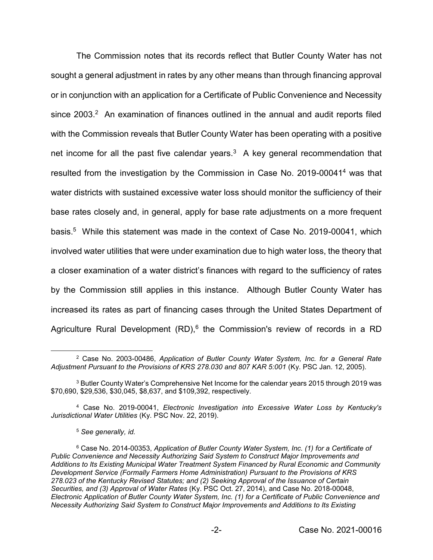The Commission notes that its records reflect that Butler County Water has not sought a general adjustment in rates by any other means than through financing approval or in conjunction with an application for a Certificate of Public Convenience and Necessity since 2003.<sup>2</sup> An examination of finances outlined in the annual and audit reports filed with the Commission reveals that Butler County Water has been operating with a positive net income for all the past five calendar years. $3$  A key general recommendation that resulted from the investigation by the Commission in Case No. 2019-000414 was that water districts with sustained excessive water loss should monitor the sufficiency of their base rates closely and, in general, apply for base rate adjustments on a more frequent basis.5 While this statement was made in the context of Case No. 2019-00041, which involved water utilities that were under examination due to high water loss, the theory that a closer examination of a water district's finances with regard to the sufficiency of rates by the Commission still applies in this instance. Although Butler County Water has increased its rates as part of financing cases through the United States Department of Agriculture Rural Development (RD),<sup>6</sup> the Commission's review of records in a RD

 <sup>2</sup> Case No. 2003-00486, *Application of Butler County Water System, Inc. for a General Rate Adjustment Pursuant to the Provisions of KRS 278.030 and 807 KAR 5:001* (Ky. PSC Jan. 12, 2005).

<sup>3</sup> Butler County Water's Comprehensive Net Income for the calendar years 2015 through 2019 was \$70,690, \$29,536, \$30,045, \$8,637, and \$109,392, respectively.

<sup>4</sup> Case No. 2019-00041, *Electronic Investigation into Excessive Water Loss by Kentucky's Jurisdictional Water Utilities* (Ky. PSC Nov. 22, 2019).

<sup>5</sup> *See generally, id.* 

<sup>6</sup> Case No. 2014-00353, *Application of Butler County Water System, Inc. (1) for a Certificate of Public Convenience and Necessity Authorizing Said System to Construct Major Improvements and Additions to Its Existing Municipal Water Treatment System Financed by Rural Economic and Community Development Service (Formally Farmers Home Administration) Pursuant to the Provisions of KRS 278.023 of the Kentucky Revised Statutes; and (2) Seeking Approval of the Issuance of Certain Securities, and (3) Approval of Water Rates* (Ky. PSC Oct. 27, 2014), and Case No. 2018-00048, *Electronic Application of Butler County Water System, Inc. (1) for a Certificate of Public Convenience and Necessity Authorizing Said System to Construct Major Improvements and Additions to Its Existing*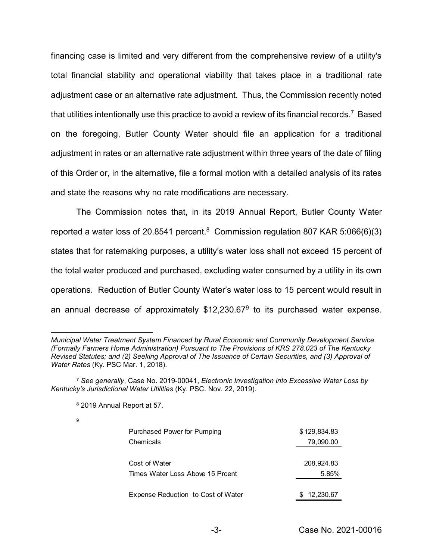financing case is limited and very different from the comprehensive review of a utility's total financial stability and operational viability that takes place in a traditional rate adjustment case or an alternative rate adjustment. Thus, the Commission recently noted that utilities intentionally use this practice to avoid a review of its financial records.<sup>7</sup> Based on the foregoing, Butler County Water should file an application for a traditional adjustment in rates or an alternative rate adjustment within three years of the date of filing of this Order or, in the alternative, file a formal motion with a detailed analysis of its rates and state the reasons why no rate modifications are necessary.

The Commission notes that, in its 2019 Annual Report, Butler County Water reported a water loss of 20.8541 percent.<sup>8</sup> Commission regulation 807 KAR 5:066(6)(3) states that for ratemaking purposes, a utility's water loss shall not exceed 15 percent of the total water produced and purchased, excluding water consumed by a utility in its own operations. Reduction of Butler County Water's water loss to 15 percent would result in an annual decrease of approximately  $$12,230.67<sup>9</sup>$  to its purchased water expense.

9

| Purchased Power for Pumping        | \$129,834.83 |
|------------------------------------|--------------|
| Chemicals                          | 79,090.00    |
|                                    |              |
| Cost of Water                      | 208,924.83   |
| Times Water Loss Above 15 Prcent   | 5.85%        |
|                                    |              |
| Expense Reduction to Cost of Water | \$12,230.67  |

 $\overline{a}$ *Municipal Water Treatment System Financed by Rural Economic and Community Development Service (Formally Farmers Home Administration) Pursuant to The Provisions of KRS 278.023 of The Kentucky Revised Statutes; and (2) Seeking Approval of The Issuance of Certain Securities, and (3) Approval of Water Rates* (Ky. PSC Mar. 1, 2018)*.*

<sup>7</sup> *See generally*, Case No. 2019-00041, *Electronic Investigation into Excessive Water Loss by Kentucky's Jurisdictional Water Utilities* (Ky. PSC. Nov. 22, 2019).

<sup>8</sup> 2019 Annual Report at 57.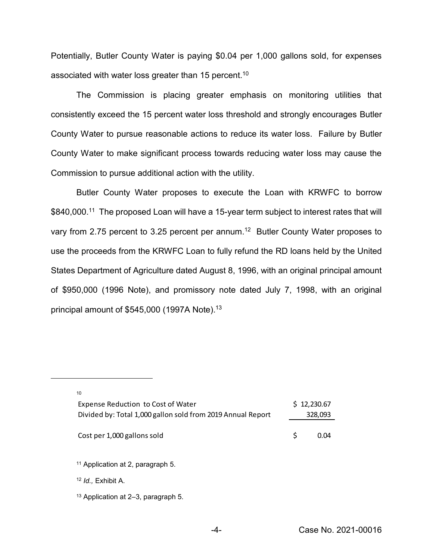Potentially, Butler County Water is paying \$0.04 per 1,000 gallons sold, for expenses associated with water loss greater than 15 percent.<sup>10</sup>

The Commission is placing greater emphasis on monitoring utilities that consistently exceed the 15 percent water loss threshold and strongly encourages Butler County Water to pursue reasonable actions to reduce its water loss. Failure by Butler County Water to make significant process towards reducing water loss may cause the Commission to pursue additional action with the utility.

Butler County Water proposes to execute the Loan with KRWFC to borrow \$840,000.<sup>11</sup> The proposed Loan will have a 15-year term subject to interest rates that will vary from 2.75 percent to 3.25 percent per annum.12 Butler County Water proposes to use the proceeds from the KRWFC Loan to fully refund the RD loans held by the United States Department of Agriculture dated August 8, 1996, with an original principal amount of \$950,000 (1996 Note), and promissory note dated July 7, 1998, with an original principal amount of \$545,000 (1997A Note).<sup>13</sup>

| 10                                                          |             |      |  |
|-------------------------------------------------------------|-------------|------|--|
| Expense Reduction to Cost of Water                          | \$12,230.67 |      |  |
| Divided by: Total 1,000 gallon sold from 2019 Annual Report | 328,093     |      |  |
| Cost per 1,000 gallons sold                                 | \$          | 0.04 |  |
| <sup>11</sup> Application at 2, paragraph 5.                |             |      |  |
| $12$ <i>ld.</i> , Exhibit A.                                |             |      |  |
| <sup>13</sup> Application at 2–3, paragraph 5.              |             |      |  |

 $\overline{a}$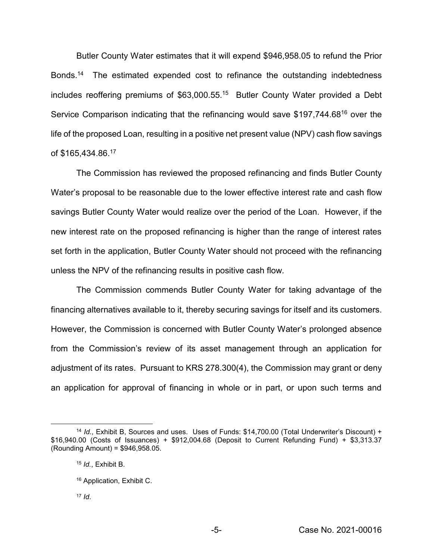Butler County Water estimates that it will expend \$946,958.05 to refund the Prior Bonds. <sup>14</sup> The estimated expended cost to refinance the outstanding indebtedness includes reoffering premiums of \$63,000.55. 15 Butler County Water provided a Debt Service Comparison indicating that the refinancing would save \$197,744.68<sup>16</sup> over the life of the proposed Loan, resulting in a positive net present value (NPV) cash flow savings of \$165,434.86. 17

The Commission has reviewed the proposed refinancing and finds Butler County Water's proposal to be reasonable due to the lower effective interest rate and cash flow savings Butler County Water would realize over the period of the Loan. However, if the new interest rate on the proposed refinancing is higher than the range of interest rates set forth in the application, Butler County Water should not proceed with the refinancing unless the NPV of the refinancing results in positive cash flow.

The Commission commends Butler County Water for taking advantage of the financing alternatives available to it, thereby securing savings for itself and its customers. However, the Commission is concerned with Butler County Water's prolonged absence from the Commission's review of its asset management through an application for adjustment of its rates. Pursuant to KRS 278.300(4), the Commission may grant or deny an application for approval of financing in whole or in part, or upon such terms and

<sup>17</sup> *Id*.

 <sup>14</sup> *Id.*, Exhibit B, Sources and uses. Uses of Funds: \$14,700.00 (Total Underwriter's Discount) + \$16,940.00 (Costs of Issuances) + \$912,004.68 (Deposit to Current Refunding Fund) + \$3,313.37 (Rounding Amount) = \$946,958.05.

<sup>15</sup> *Id.*, Exhibit B.

<sup>16</sup> Application, Exhibit C.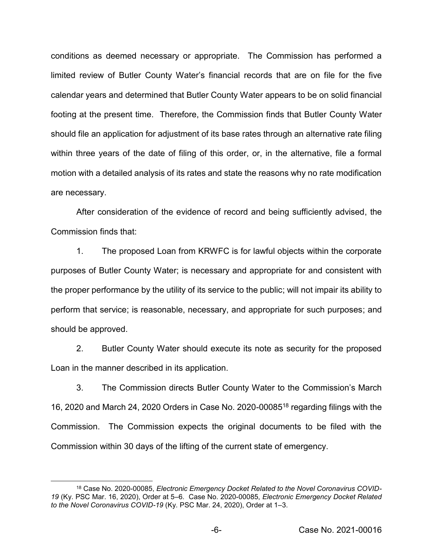conditions as deemed necessary or appropriate. The Commission has performed a limited review of Butler County Water's financial records that are on file for the five calendar years and determined that Butler County Water appears to be on solid financial footing at the present time. Therefore, the Commission finds that Butler County Water should file an application for adjustment of its base rates through an alternative rate filing within three years of the date of filing of this order, or, in the alternative, file a formal motion with a detailed analysis of its rates and state the reasons why no rate modification are necessary.

After consideration of the evidence of record and being sufficiently advised, the Commission finds that:

1. The proposed Loan from KRWFC is for lawful objects within the corporate purposes of Butler County Water; is necessary and appropriate for and consistent with the proper performance by the utility of its service to the public; will not impair its ability to perform that service; is reasonable, necessary, and appropriate for such purposes; and should be approved.

2. Butler County Water should execute its note as security for the proposed Loan in the manner described in its application.

3. The Commission directs Butler County Water to the Commission's March 16, 2020 and March 24, 2020 Orders in Case No. 2020-0008518 regarding filings with the Commission. The Commission expects the original documents to be filed with the Commission within 30 days of the lifting of the current state of emergency.

<sup>&</sup>lt;sup>18</sup> Case No. 2020-00085, *Electronic Emergency Docket Related to the Novel Coronavirus COVID-19* (Ky. PSC Mar. 16, 2020), Order at 5–6. Case No. 2020-00085, *Electronic Emergency Docket Related to the Novel Coronavirus COVID-19* (Ky. PSC Mar. 24, 2020), Order at 1–3.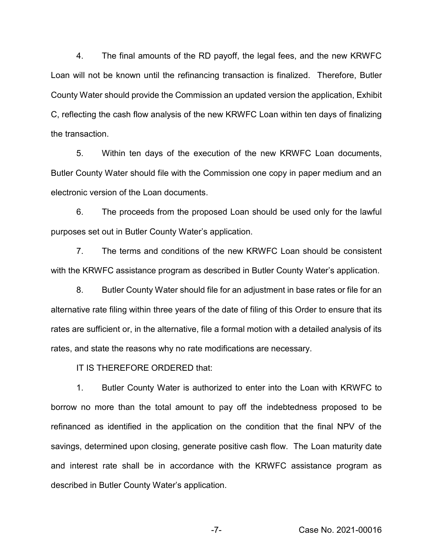4. The final amounts of the RD payoff, the legal fees, and the new KRWFC Loan will not be known until the refinancing transaction is finalized. Therefore, Butler County Water should provide the Commission an updated version the application, Exhibit C, reflecting the cash flow analysis of the new KRWFC Loan within ten days of finalizing the transaction.

5. Within ten days of the execution of the new KRWFC Loan documents, Butler County Water should file with the Commission one copy in paper medium and an electronic version of the Loan documents.

6. The proceeds from the proposed Loan should be used only for the lawful purposes set out in Butler County Water's application.

7. The terms and conditions of the new KRWFC Loan should be consistent with the KRWFC assistance program as described in Butler County Water's application.

8. Butler County Water should file for an adjustment in base rates or file for an alternative rate filing within three years of the date of filing of this Order to ensure that its rates are sufficient or, in the alternative, file a formal motion with a detailed analysis of its rates, and state the reasons why no rate modifications are necessary.

IT IS THEREFORE ORDERED that:

1. Butler County Water is authorized to enter into the Loan with KRWFC to borrow no more than the total amount to pay off the indebtedness proposed to be refinanced as identified in the application on the condition that the final NPV of the savings, determined upon closing, generate positive cash flow. The Loan maturity date and interest rate shall be in accordance with the KRWFC assistance program as described in Butler County Water's application.

-7- Case No. 2021-00016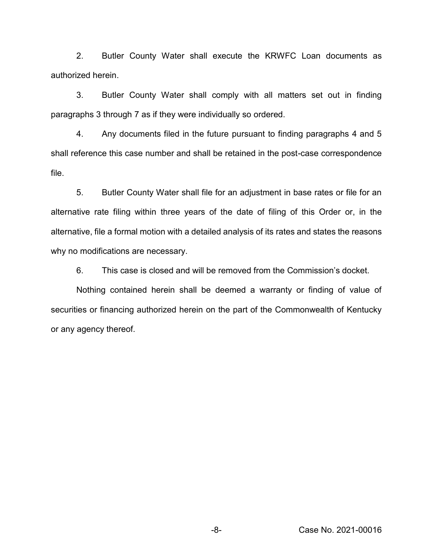2. Butler County Water shall execute the KRWFC Loan documents as authorized herein.

3. Butler County Water shall comply with all matters set out in finding paragraphs 3 through 7 as if they were individually so ordered.

4. Any documents filed in the future pursuant to finding paragraphs 4 and 5 shall reference this case number and shall be retained in the post-case correspondence file.

5. Butler County Water shall file for an adjustment in base rates or file for an alternative rate filing within three years of the date of filing of this Order or, in the alternative, file a formal motion with a detailed analysis of its rates and states the reasons why no modifications are necessary.

6. This case is closed and will be removed from the Commission's docket.

Nothing contained herein shall be deemed a warranty or finding of value of securities or financing authorized herein on the part of the Commonwealth of Kentucky or any agency thereof.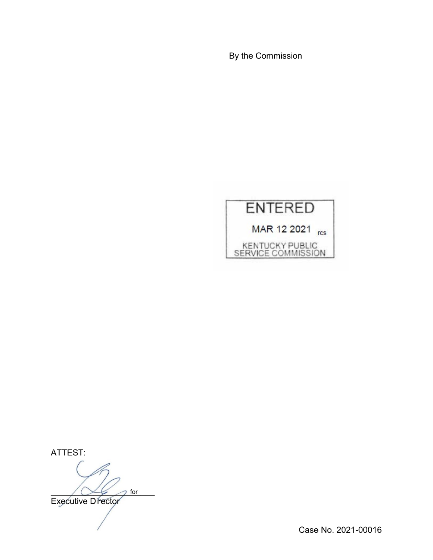By the Commission



ATTEST:

 $\bigwedge \bigvee \bigvee$  for for

Executive Director

Case No. 2021-00016